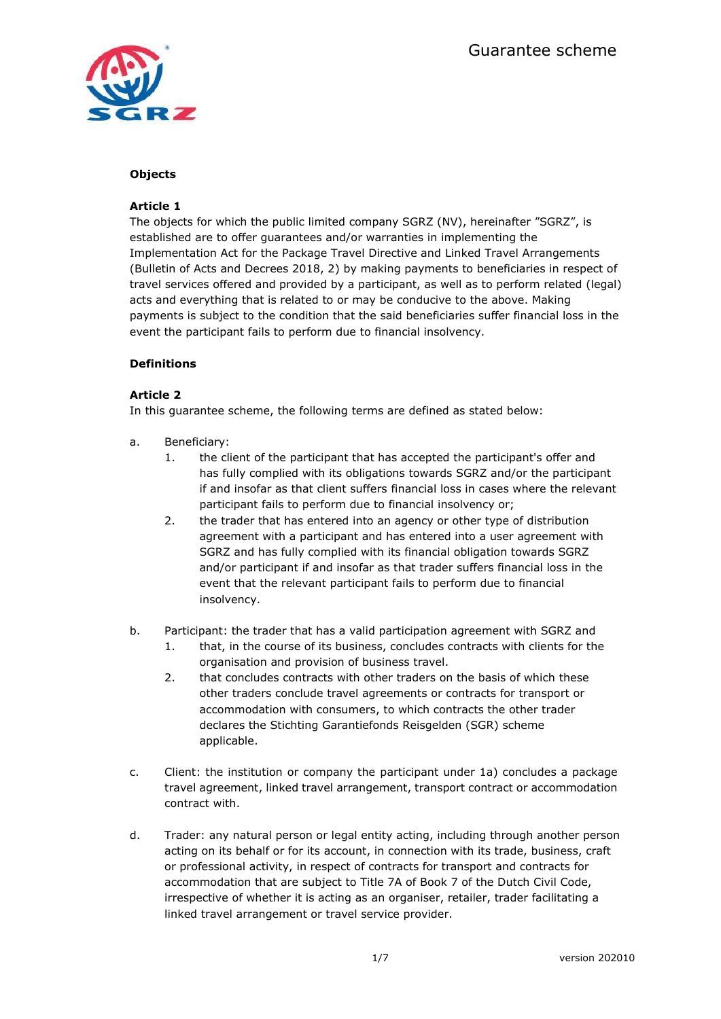

### **Objects**

### **Article 1**

The objects for which the public limited company SGRZ (NV), hereinafter "SGRZ", is established are to offer guarantees and/or warranties in implementing the Implementation Act for the Package Travel Directive and Linked Travel Arrangements (Bulletin of Acts and Decrees 2018, 2) by making payments to beneficiaries in respect of travel services offered and provided by a participant, as well as to perform related (legal) acts and everything that is related to or may be conducive to the above. Making payments is subject to the condition that the said beneficiaries suffer financial loss in the event the participant fails to perform due to financial insolvency.

## **Definitions**

## **Article 2**

In this guarantee scheme, the following terms are defined as stated below:

- a. Beneficiary:
	- 1. the client of the participant that has accepted the participant's offer and has fully complied with its obligations towards SGRZ and/or the participant if and insofar as that client suffers financial loss in cases where the relevant participant fails to perform due to financial insolvency or;
	- 2. the trader that has entered into an agency or other type of distribution agreement with a participant and has entered into a user agreement with SGRZ and has fully complied with its financial obligation towards SGRZ and/or participant if and insofar as that trader suffers financial loss in the event that the relevant participant fails to perform due to financial insolvency.
- b. Participant: the trader that has a valid participation agreement with SGRZ and
	- 1. that, in the course of its business, concludes contracts with clients for the organisation and provision of business travel.
	- 2. that concludes contracts with other traders on the basis of which these other traders conclude travel agreements or contracts for transport or accommodation with consumers, to which contracts the other trader declares the Stichting Garantiefonds Reisgelden (SGR) scheme applicable.
- c. Client: the institution or company the participant under 1a) concludes a package travel agreement, linked travel arrangement, transport contract or accommodation contract with.
- d. Trader: any natural person or legal entity acting, including through another person acting on its behalf or for its account, in connection with its trade, business, craft or professional activity, in respect of contracts for transport and contracts for accommodation that are subject to Title 7A of Book 7 of the Dutch Civil Code, irrespective of whether it is acting as an organiser, retailer, trader facilitating a linked travel arrangement or travel service provider.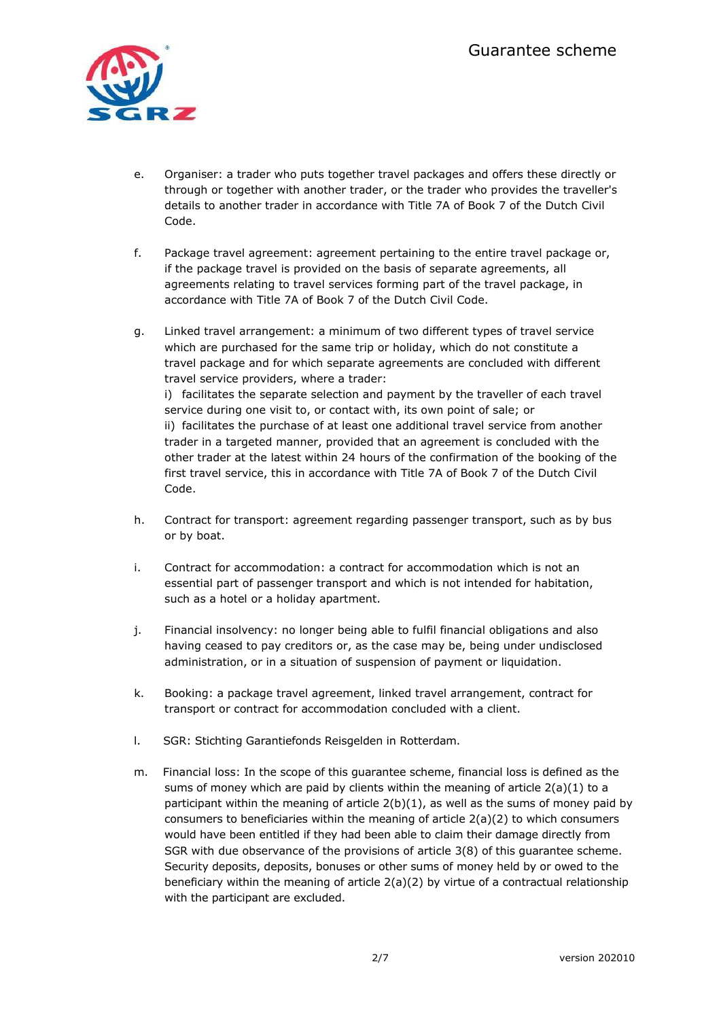

- e. Organiser: a trader who puts together travel packages and offers these directly or through or together with another trader, or the trader who provides the traveller's details to another trader in accordance with Title 7A of Book 7 of the Dutch Civil Code.
- f. Package travel agreement: agreement pertaining to the entire travel package or, if the package travel is provided on the basis of separate agreements, all agreements relating to travel services forming part of the travel package, in accordance with Title 7A of Book 7 of the Dutch Civil Code.
- g. Linked travel arrangement: a minimum of two different types of travel service which are purchased for the same trip or holiday, which do not constitute a travel package and for which separate agreements are concluded with different travel service providers, where a trader: i) facilitates the separate selection and payment by the traveller of each travel service during one visit to, or contact with, its own point of sale; or ii) facilitates the purchase of at least one additional travel service from another trader in a targeted manner, provided that an agreement is concluded with the other trader at the latest within 24 hours of the confirmation of the booking of the first travel service, this in accordance with Title 7A of Book 7 of the Dutch Civil Code.
- h. Contract for transport: agreement regarding passenger transport, such as by bus or by boat.
- i. Contract for accommodation: a contract for accommodation which is not an essential part of passenger transport and which is not intended for habitation, such as a hotel or a holiday apartment.
- j. Financial insolvency: no longer being able to fulfil financial obligations and also having ceased to pay creditors or, as the case may be, being under undisclosed administration, or in a situation of suspension of payment or liquidation.
- k. Booking: a package travel agreement, linked travel arrangement, contract for transport or contract for accommodation concluded with a client.
- l. SGR: Stichting Garantiefonds Reisgelden in Rotterdam.
- m. Financial loss: In the scope of this guarantee scheme, financial loss is defined as the sums of money which are paid by clients within the meaning of article  $2(a)(1)$  to a participant within the meaning of article  $2(b)(1)$ , as well as the sums of money paid by consumers to beneficiaries within the meaning of article 2(a)(2) to which consumers would have been entitled if they had been able to claim their damage directly from SGR with due observance of the provisions of article 3(8) of this guarantee scheme. Security deposits, deposits, bonuses or other sums of money held by or owed to the beneficiary within the meaning of article  $2(a)(2)$  by virtue of a contractual relationship with the participant are excluded.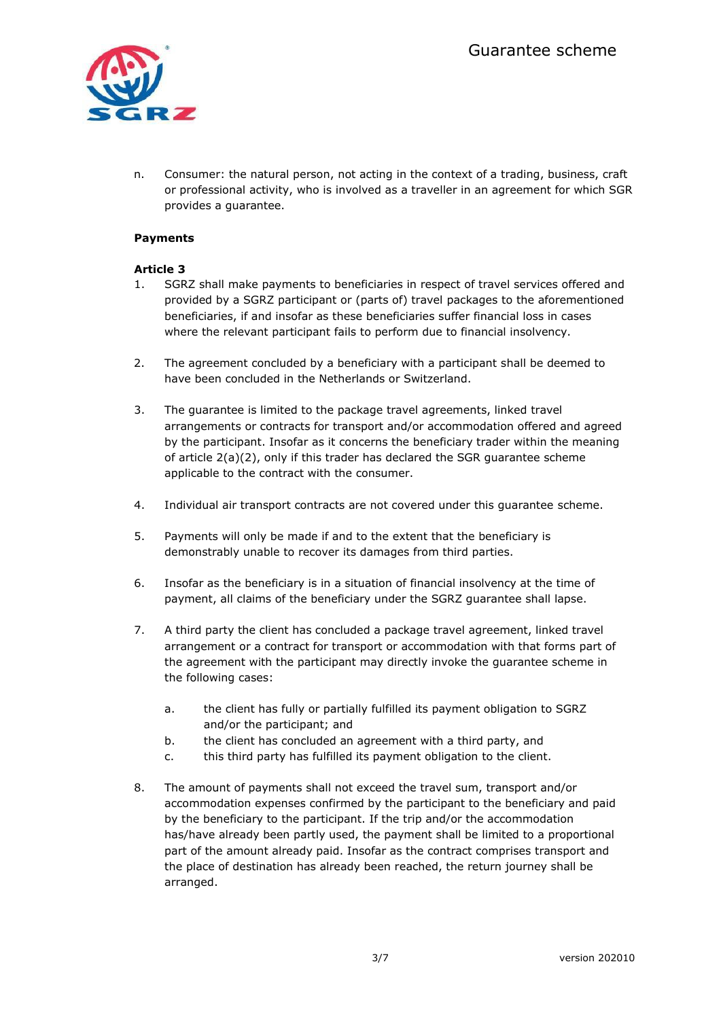

n. Consumer: the natural person, not acting in the context of a trading, business, craft or professional activity, who is involved as a traveller in an agreement for which SGR provides a guarantee.

## **Payments**

## **Article 3**

- 1. SGRZ shall make payments to beneficiaries in respect of travel services offered and provided by a SGRZ participant or (parts of) travel packages to the aforementioned beneficiaries, if and insofar as these beneficiaries suffer financial loss in cases where the relevant participant fails to perform due to financial insolvency.
- 2. The agreement concluded by a beneficiary with a participant shall be deemed to have been concluded in the Netherlands or Switzerland.
- 3. The guarantee is limited to the package travel agreements, linked travel arrangements or contracts for transport and/or accommodation offered and agreed by the participant. Insofar as it concerns the beneficiary trader within the meaning of article 2(a)(2), only if this trader has declared the SGR guarantee scheme applicable to the contract with the consumer.
- 4. Individual air transport contracts are not covered under this guarantee scheme.
- 5. Payments will only be made if and to the extent that the beneficiary is demonstrably unable to recover its damages from third parties.
- 6. Insofar as the beneficiary is in a situation of financial insolvency at the time of payment, all claims of the beneficiary under the SGRZ guarantee shall lapse.
- 7. A third party the client has concluded a package travel agreement, linked travel arrangement or a contract for transport or accommodation with that forms part of the agreement with the participant may directly invoke the guarantee scheme in the following cases:
	- a. the client has fully or partially fulfilled its payment obligation to SGRZ and/or the participant; and
	- b. the client has concluded an agreement with a third party, and
	- c. this third party has fulfilled its payment obligation to the client.
- 8. The amount of payments shall not exceed the travel sum, transport and/or accommodation expenses confirmed by the participant to the beneficiary and paid by the beneficiary to the participant. If the trip and/or the accommodation has/have already been partly used, the payment shall be limited to a proportional part of the amount already paid. Insofar as the contract comprises transport and the place of destination has already been reached, the return journey shall be arranged.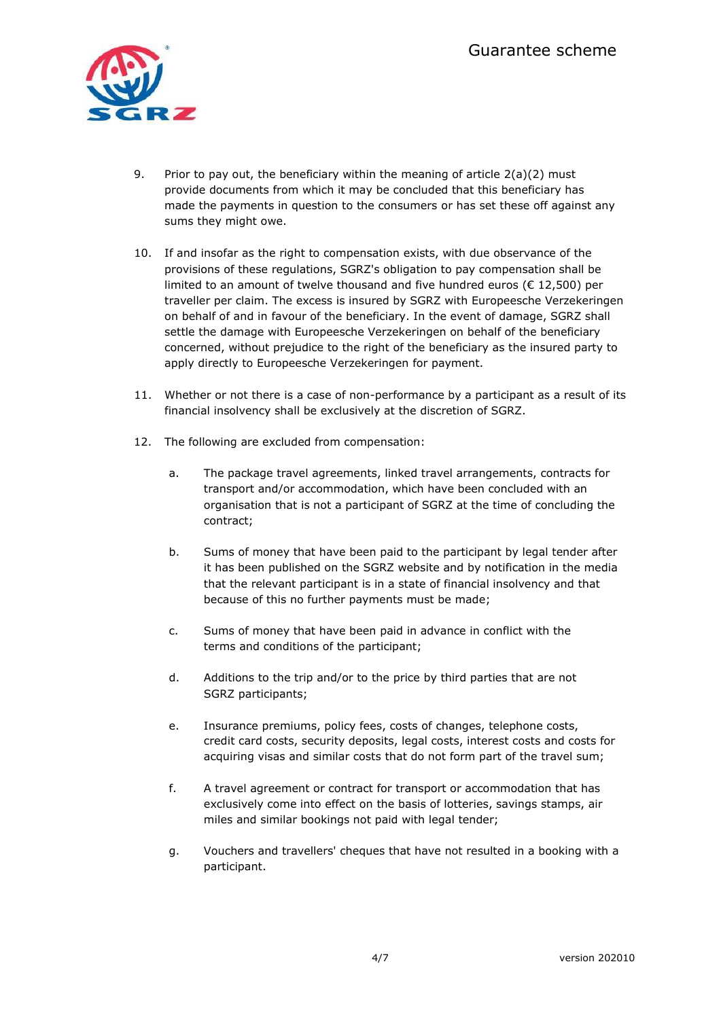

- 9. Prior to pay out, the beneficiary within the meaning of article  $2(a)(2)$  must provide documents from which it may be concluded that this beneficiary has made the payments in question to the consumers or has set these off against any sums they might owe.
- 10. If and insofar as the right to compensation exists, with due observance of the provisions of these regulations, SGRZ's obligation to pay compensation shall be limited to an amount of twelve thousand and five hundred euros ( $\epsilon$  12,500) per traveller per claim. The excess is insured by SGRZ with Europeesche Verzekeringen on behalf of and in favour of the beneficiary. In the event of damage, SGRZ shall settle the damage with Europeesche Verzekeringen on behalf of the beneficiary concerned, without prejudice to the right of the beneficiary as the insured party to apply directly to Europeesche Verzekeringen for payment.
- 11. Whether or not there is a case of non-performance by a participant as a result of its financial insolvency shall be exclusively at the discretion of SGRZ.
- 12. The following are excluded from compensation:
	- a. The package travel agreements, linked travel arrangements, contracts for transport and/or accommodation, which have been concluded with an organisation that is not a participant of SGRZ at the time of concluding the contract;
	- b. Sums of money that have been paid to the participant by legal tender after it has been published on the SGRZ website and by notification in the media that the relevant participant is in a state of financial insolvency and that because of this no further payments must be made;
	- c. Sums of money that have been paid in advance in conflict with the terms and conditions of the participant;
	- d. Additions to the trip and/or to the price by third parties that are not SGRZ participants;
	- e. Insurance premiums, policy fees, costs of changes, telephone costs, credit card costs, security deposits, legal costs, interest costs and costs for acquiring visas and similar costs that do not form part of the travel sum;
	- f. A travel agreement or contract for transport or accommodation that has exclusively come into effect on the basis of lotteries, savings stamps, air miles and similar bookings not paid with legal tender;
	- g. Vouchers and travellers' cheques that have not resulted in a booking with a participant.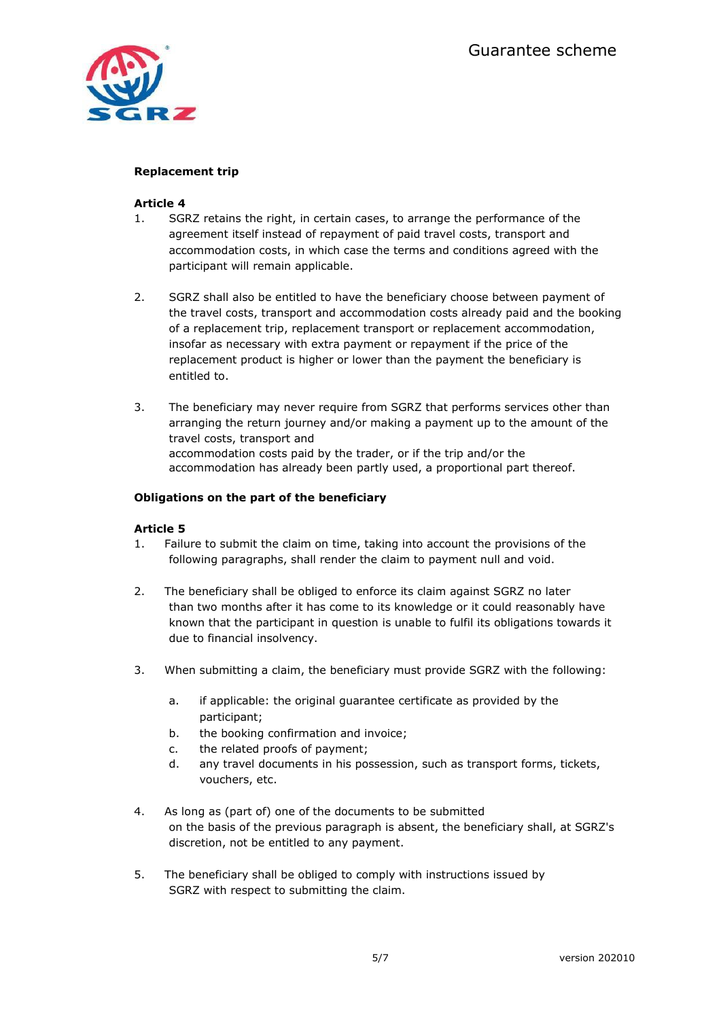

# **Replacement trip**

### **Article 4**

- 1. SGRZ retains the right, in certain cases, to arrange the performance of the agreement itself instead of repayment of paid travel costs, transport and accommodation costs, in which case the terms and conditions agreed with the participant will remain applicable.
- 2. SGRZ shall also be entitled to have the beneficiary choose between payment of the travel costs, transport and accommodation costs already paid and the booking of a replacement trip, replacement transport or replacement accommodation, insofar as necessary with extra payment or repayment if the price of the replacement product is higher or lower than the payment the beneficiary is entitled to.
- 3. The beneficiary may never require from SGRZ that performs services other than arranging the return journey and/or making a payment up to the amount of the travel costs, transport and accommodation costs paid by the trader, or if the trip and/or the accommodation has already been partly used, a proportional part thereof.

## **Obligations on the part of the beneficiary**

### **Article 5**

- 1. Failure to submit the claim on time, taking into account the provisions of the following paragraphs, shall render the claim to payment null and void.
- 2. The beneficiary shall be obliged to enforce its claim against SGRZ no later than two months after it has come to its knowledge or it could reasonably have known that the participant in question is unable to fulfil its obligations towards it due to financial insolvency.
- 3. When submitting a claim, the beneficiary must provide SGRZ with the following:
	- a. if applicable: the original guarantee certificate as provided by the participant;
	- b. the booking confirmation and invoice;
	- c. the related proofs of payment;
	- d. any travel documents in his possession, such as transport forms, tickets, vouchers, etc.
- 4. As long as (part of) one of the documents to be submitted on the basis of the previous paragraph is absent, the beneficiary shall, at SGRZ's discretion, not be entitled to any payment.
- 5. The beneficiary shall be obliged to comply with instructions issued by SGRZ with respect to submitting the claim.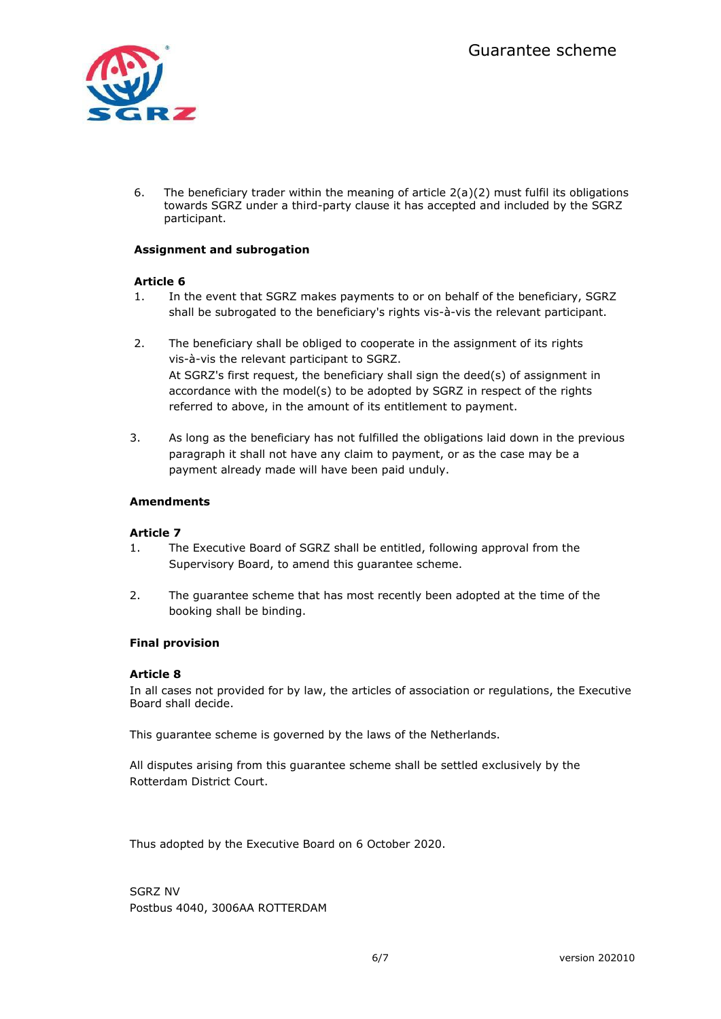

6. The beneficiary trader within the meaning of article  $2(a)(2)$  must fulfil its obligations towards SGRZ under a third-party clause it has accepted and included by the SGRZ participant.

# **Assignment and subrogation**

### **Article 6**

- 1. In the event that SGRZ makes payments to or on behalf of the beneficiary, SGRZ shall be subrogated to the beneficiary's rights vis-à-vis the relevant participant.
- 2. The beneficiary shall be obliged to cooperate in the assignment of its rights vis-à-vis the relevant participant to SGRZ. At SGRZ's first request, the beneficiary shall sign the deed(s) of assignment in accordance with the model(s) to be adopted by SGRZ in respect of the rights referred to above, in the amount of its entitlement to payment.
- 3. As long as the beneficiary has not fulfilled the obligations laid down in the previous paragraph it shall not have any claim to payment, or as the case may be a payment already made will have been paid unduly.

## **Amendments**

### **Article 7**

- 1. The Executive Board of SGRZ shall be entitled, following approval from the Supervisory Board, to amend this guarantee scheme.
- 2. The guarantee scheme that has most recently been adopted at the time of the booking shall be binding.

### **Final provision**

### **Article 8**

In all cases not provided for by law, the articles of association or regulations, the Executive Board shall decide.

This guarantee scheme is governed by the laws of the Netherlands.

All disputes arising from this guarantee scheme shall be settled exclusively by the Rotterdam District Court.

Thus adopted by the Executive Board on 6 October 2020.

SGRZ NV Postbus 4040, 3006AA ROTTERDAM